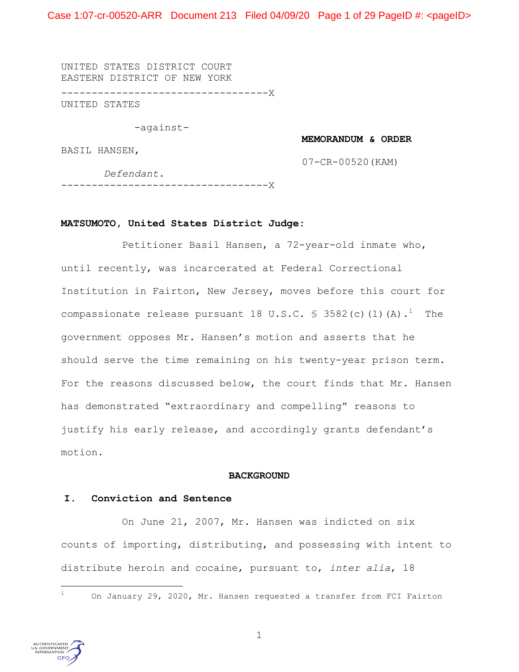Case 1:07-cr-00520-ARR Document 213 Filed 04/09/20 Page 1 of 29 PageID #: <pageID>

UNITED STATES DISTRICT COURT EASTERN DISTRICT OF NEW YORK

----------------------------------X

UNITED STATES

-against-

**MEMORANDUM & ORDER**

BASIL HANSEN,

07-CR-00520(KAM)

 *Defendant*. ----------------------------------X

## **MATSUMOTO, United States District Judge:**

Petitioner Basil Hansen, a 72-year-old inmate who, until recently, was incarcerated at Federal Correctional Institution in Fairton, New Jersey, moves before this court for compassionate release pursuant 18 U.S.C. § 3582(c)(1)(A). $^1$  The government opposes Mr. Hansen's motion and asserts that he should serve the time remaining on his twenty-year prison term. For the reasons discussed below, the court finds that Mr. Hansen has demonstrated "extraordinary and compelling" reasons to justify his early release, and accordingly grants defendant's motion.

#### **BACKGROUND**

### **I. Conviction and Sentence**

 On June 21, 2007, Mr. Hansen was indicted on six counts of importing, distributing, and possessing with intent to distribute heroin and cocaine, pursuant to, *inter alia*, 18

# i<br>Li



<sup>1</sup> On January 29, 2020, Mr. Hansen requested a transfer from FCI Fairton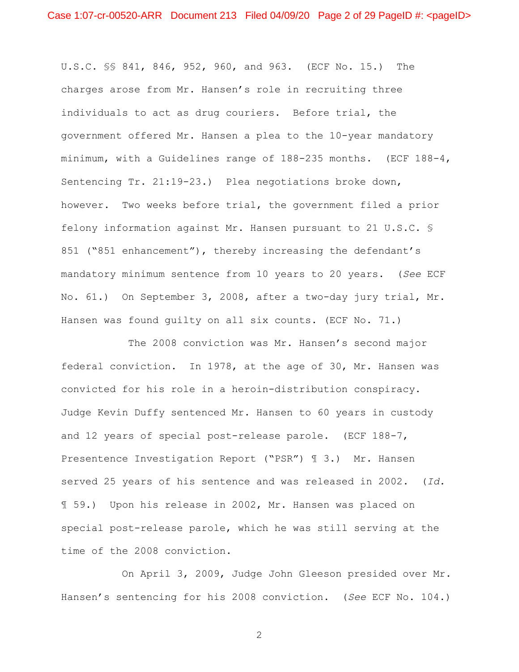U.S.C. §§ 841, 846, 952, 960, and 963. (ECF No. 15.) The charges arose from Mr. Hansen's role in recruiting three individuals to act as drug couriers. Before trial, the government offered Mr. Hansen a plea to the 10-year mandatory minimum, with a Guidelines range of 188-235 months. (ECF 188-4, Sentencing Tr. 21:19-23.) Plea negotiations broke down, however. Two weeks before trial, the government filed a prior felony information against Mr. Hansen pursuant to 21 U.S.C. § 851 ("851 enhancement"), thereby increasing the defendant's mandatory minimum sentence from 10 years to 20 years. (*See* ECF No. 61.) On September 3, 2008, after a two-day jury trial, Mr. Hansen was found guilty on all six counts. (ECF No. 71.)

The 2008 conviction was Mr. Hansen's second major federal conviction. In 1978, at the age of 30, Mr. Hansen was convicted for his role in a heroin-distribution conspiracy. Judge Kevin Duffy sentenced Mr. Hansen to 60 years in custody and 12 years of special post-release parole. (ECF 188-7, Presentence Investigation Report ("PSR") ¶ 3.) Mr. Hansen served 25 years of his sentence and was released in 2002. (*Id.* ¶ 59.) Upon his release in 2002, Mr. Hansen was placed on special post-release parole, which he was still serving at the time of the 2008 conviction.

On April 3, 2009, Judge John Gleeson presided over Mr. Hansen's sentencing for his 2008 conviction. (*See* ECF No. 104.)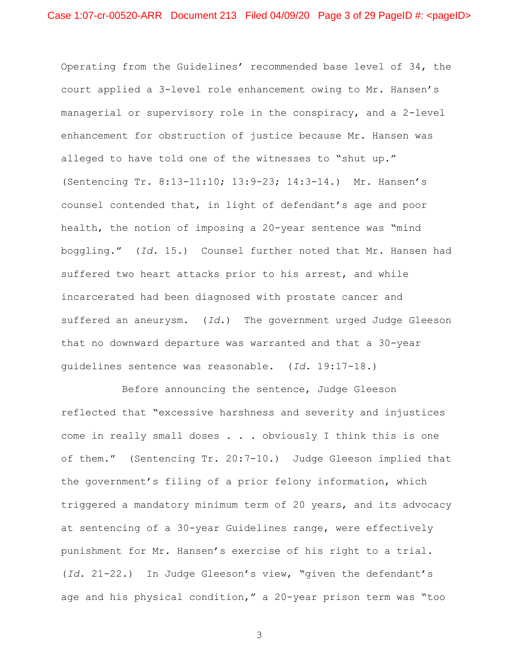Operating from the Guidelines' recommended base level of 34, the court applied a 3-level role enhancement owing to Mr. Hansen's managerial or supervisory role in the conspiracy, and a 2-level enhancement for obstruction of justice because Mr. Hansen was alleged to have told one of the witnesses to "shut up." (Sentencing Tr. 8:13-11:10; 13:9-23; 14:3-14.) Mr. Hansen's counsel contended that, in light of defendant's age and poor health, the notion of imposing a 20-year sentence was "mind boggling." (*Id.* 15.) Counsel further noted that Mr. Hansen had suffered two heart attacks prior to his arrest, and while incarcerated had been diagnosed with prostate cancer and suffered an aneurysm. (*Id.*) The government urged Judge Gleeson that no downward departure was warranted and that a 30-year guidelines sentence was reasonable. (*Id.* 19:17-18.)

Before announcing the sentence, Judge Gleeson reflected that "excessive harshness and severity and injustices come in really small doses . . . obviously I think this is one of them." (Sentencing Tr. 20:7-10.) Judge Gleeson implied that the government's filing of a prior felony information, which triggered a mandatory minimum term of 20 years, and its advocacy at sentencing of a 30-year Guidelines range, were effectively punishment for Mr. Hansen's exercise of his right to a trial. (*Id.* 21-22.) In Judge Gleeson's view, "given the defendant's age and his physical condition," a 20-year prison term was "too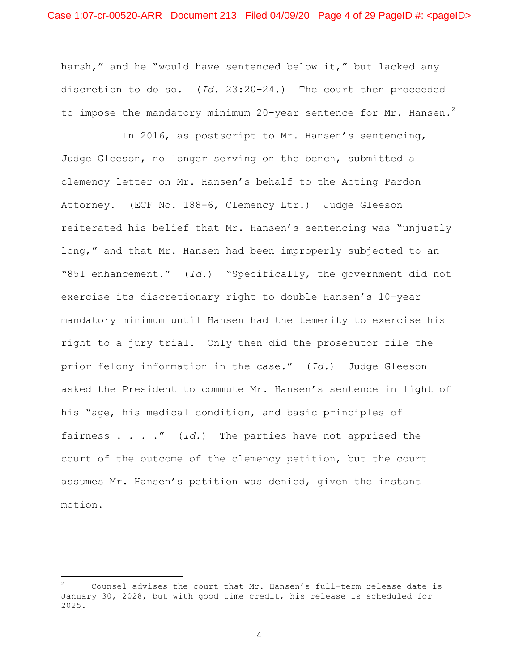harsh," and he "would have sentenced below it," but lacked any discretion to do so. (*Id.* 23:20-24.) The court then proceeded to impose the mandatory minimum 20-year sentence for Mr. Hansen. $^2$ 

In 2016, as postscript to Mr. Hansen's sentencing, Judge Gleeson, no longer serving on the bench, submitted a clemency letter on Mr. Hansen's behalf to the Acting Pardon Attorney. (ECF No. 188-6, Clemency Ltr.) Judge Gleeson reiterated his belief that Mr. Hansen's sentencing was "unjustly long," and that Mr. Hansen had been improperly subjected to an "851 enhancement." (*Id.*) "Specifically, the government did not exercise its discretionary right to double Hansen's 10-year mandatory minimum until Hansen had the temerity to exercise his right to a jury trial. Only then did the prosecutor file the prior felony information in the case." (*Id.*) Judge Gleeson asked the President to commute Mr. Hansen's sentence in light of his "age, his medical condition, and basic principles of fairness . . . ." (*Id.*) The parties have not apprised the court of the outcome of the clemency petition, but the court assumes Mr. Hansen's petition was denied, given the instant motion.

i

<sup>2</sup> Counsel advises the court that Mr. Hansen's full-term release date is January 30, 2028, but with good time credit, his release is scheduled for 2025.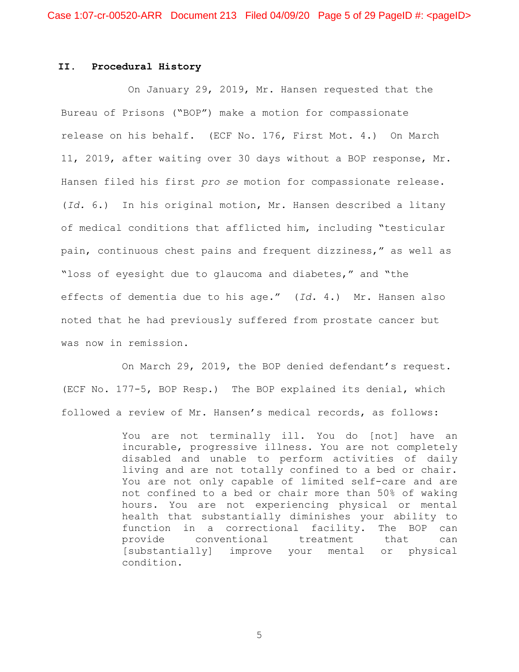## **II. Procedural History**

On January 29, 2019, Mr. Hansen requested that the Bureau of Prisons ("BOP") make a motion for compassionate release on his behalf. (ECF No. 176, First Mot. 4.) On March 11, 2019, after waiting over 30 days without a BOP response, Mr. Hansen filed his first *pro se* motion for compassionate release. (*Id.* 6.) In his original motion, Mr. Hansen described a litany of medical conditions that afflicted him, including "testicular pain, continuous chest pains and frequent dizziness," as well as "loss of eyesight due to glaucoma and diabetes," and "the effects of dementia due to his age." (*Id.* 4.) Mr. Hansen also noted that he had previously suffered from prostate cancer but was now in remission.

On March 29, 2019, the BOP denied defendant's request. (ECF No. 177-5, BOP Resp.) The BOP explained its denial, which followed a review of Mr. Hansen's medical records, as follows:

> You are not terminally ill. You do [not] have an incurable, progressive illness. You are not completely disabled and unable to perform activities of daily living and are not totally confined to a bed or chair. You are not only capable of limited self-care and are not confined to a bed or chair more than 50% of waking hours. You are not experiencing physical or mental health that substantially diminishes your ability to function in a correctional facility. The BOP can provide conventional treatment that can [substantially] improve your mental or physical condition.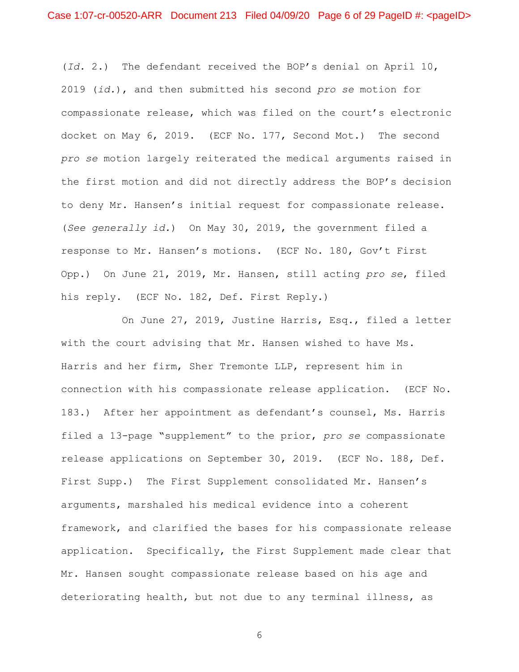(*Id.* 2.) The defendant received the BOP's denial on April 10, 2019 (*id.*), and then submitted his second *pro se* motion for compassionate release, which was filed on the court's electronic docket on May 6, 2019. (ECF No. 177, Second Mot.) The second *pro se* motion largely reiterated the medical arguments raised in the first motion and did not directly address the BOP's decision to deny Mr. Hansen's initial request for compassionate release. (*See generally id.*) On May 30, 2019, the government filed a response to Mr. Hansen's motions. (ECF No. 180, Gov't First Opp.) On June 21, 2019, Mr. Hansen, still acting *pro se*, filed his reply. (ECF No. 182, Def. First Reply.)

On June 27, 2019, Justine Harris, Esq., filed a letter with the court advising that Mr. Hansen wished to have Ms. Harris and her firm, Sher Tremonte LLP, represent him in connection with his compassionate release application. (ECF No. 183.) After her appointment as defendant's counsel, Ms. Harris filed a 13-page "supplement" to the prior, *pro se* compassionate release applications on September 30, 2019. (ECF No. 188, Def. First Supp.) The First Supplement consolidated Mr. Hansen's arguments, marshaled his medical evidence into a coherent framework, and clarified the bases for his compassionate release application. Specifically, the First Supplement made clear that Mr. Hansen sought compassionate release based on his age and deteriorating health, but not due to any terminal illness, as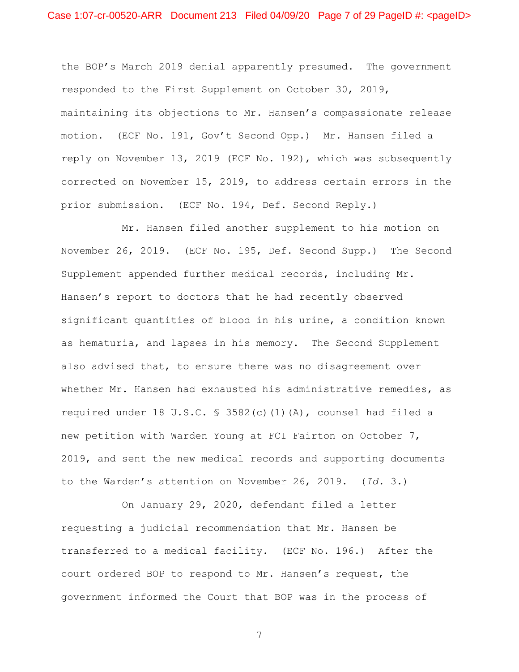the BOP's March 2019 denial apparently presumed. The government responded to the First Supplement on October 30, 2019, maintaining its objections to Mr. Hansen's compassionate release motion. (ECF No. 191, Gov't Second Opp.) Mr. Hansen filed a reply on November 13, 2019 (ECF No. 192), which was subsequently corrected on November 15, 2019, to address certain errors in the prior submission. (ECF No. 194, Def. Second Reply.)

Mr. Hansen filed another supplement to his motion on November 26, 2019. (ECF No. 195, Def. Second Supp.) The Second Supplement appended further medical records, including Mr. Hansen's report to doctors that he had recently observed significant quantities of blood in his urine, a condition known as hematuria, and lapses in his memory. The Second Supplement also advised that, to ensure there was no disagreement over whether Mr. Hansen had exhausted his administrative remedies, as required under 18 U.S.C. § 3582(c)(1)(A), counsel had filed a new petition with Warden Young at FCI Fairton on October 7, 2019, and sent the new medical records and supporting documents to the Warden's attention on November 26, 2019. (*Id.* 3.)

On January 29, 2020, defendant filed a letter requesting a judicial recommendation that Mr. Hansen be transferred to a medical facility. (ECF No. 196.) After the court ordered BOP to respond to Mr. Hansen's request, the government informed the Court that BOP was in the process of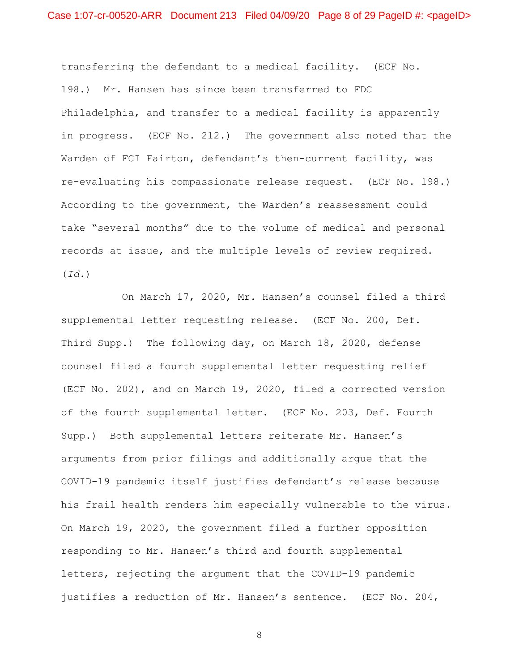transferring the defendant to a medical facility. (ECF No. 198.) Mr. Hansen has since been transferred to FDC Philadelphia, and transfer to a medical facility is apparently in progress. (ECF No. 212.) The government also noted that the Warden of FCI Fairton, defendant's then-current facility, was re-evaluating his compassionate release request. (ECF No. 198.) According to the government, the Warden's reassessment could take "several months" due to the volume of medical and personal records at issue, and the multiple levels of review required. (*Id.*)

On March 17, 2020, Mr. Hansen's counsel filed a third supplemental letter requesting release. (ECF No. 200, Def. Third Supp.) The following day, on March 18, 2020, defense counsel filed a fourth supplemental letter requesting relief (ECF No. 202), and on March 19, 2020, filed a corrected version of the fourth supplemental letter. (ECF No. 203, Def. Fourth Supp.) Both supplemental letters reiterate Mr. Hansen's arguments from prior filings and additionally argue that the COVID-19 pandemic itself justifies defendant's release because his frail health renders him especially vulnerable to the virus. On March 19, 2020, the government filed a further opposition responding to Mr. Hansen's third and fourth supplemental letters, rejecting the argument that the COVID-19 pandemic justifies a reduction of Mr. Hansen's sentence. (ECF No. 204,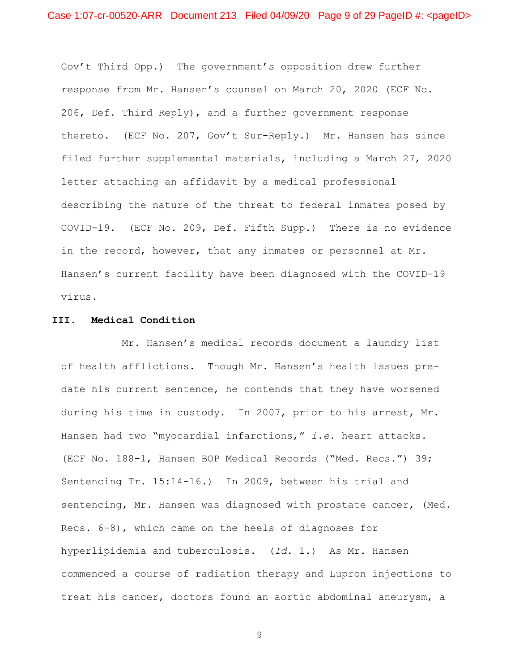Gov't Third Opp.) The government's opposition drew further response from Mr. Hansen's counsel on March 20, 2020 (ECF No. 206, Def. Third Reply), and a further government response thereto. (ECF No. 207, Gov't Sur-Reply.) Mr. Hansen has since filed further supplemental materials, including a March 27, 2020 letter attaching an affidavit by a medical professional describing the nature of the threat to federal inmates posed by COVID-19. (ECF No. 209, Def. Fifth Supp.) There is no evidence in the record, however, that any inmates or personnel at Mr. Hansen's current facility have been diagnosed with the COVID-19 virus.

## **III. Medical Condition**

Mr. Hansen's medical records document a laundry list of health afflictions. Though Mr. Hansen's health issues predate his current sentence, he contends that they have worsened during his time in custody. In 2007, prior to his arrest, Mr. Hansen had two "myocardial infarctions," *i.e.* heart attacks. (ECF No. 188-1, Hansen BOP Medical Records ("Med. Recs.") 39; Sentencing Tr. 15:14-16.) In 2009, between his trial and sentencing, Mr. Hansen was diagnosed with prostate cancer, (Med. Recs. 6-8), which came on the heels of diagnoses for hyperlipidemia and tuberculosis. (*Id.* 1.) As Mr. Hansen commenced a course of radiation therapy and Lupron injections to treat his cancer, doctors found an aortic abdominal aneurysm, a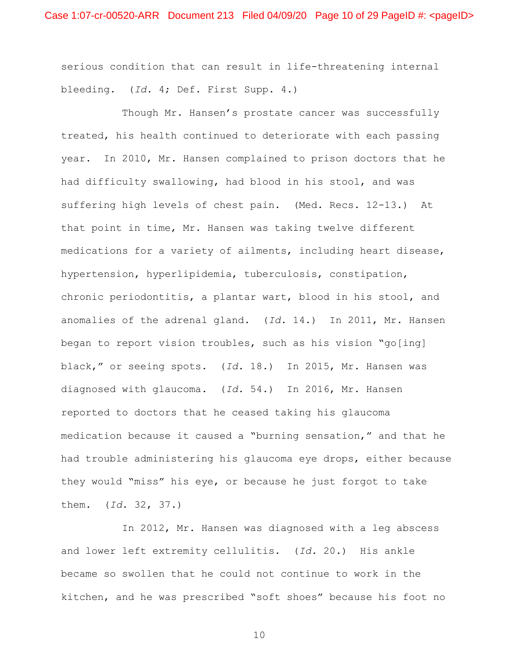serious condition that can result in life-threatening internal bleeding. (*Id.* 4; Def. First Supp. 4.)

Though Mr. Hansen's prostate cancer was successfully treated, his health continued to deteriorate with each passing year. In 2010, Mr. Hansen complained to prison doctors that he had difficulty swallowing, had blood in his stool, and was suffering high levels of chest pain. (Med. Recs. 12-13.) At that point in time, Mr. Hansen was taking twelve different medications for a variety of ailments, including heart disease, hypertension, hyperlipidemia, tuberculosis, constipation, chronic periodontitis, a plantar wart, blood in his stool, and anomalies of the adrenal gland. (*Id.* 14.) In 2011, Mr. Hansen began to report vision troubles, such as his vision "go[ing] black," or seeing spots. (*Id.* 18.) In 2015, Mr. Hansen was diagnosed with glaucoma. (*Id.* 54.) In 2016, Mr. Hansen reported to doctors that he ceased taking his glaucoma medication because it caused a "burning sensation," and that he had trouble administering his glaucoma eye drops, either because they would "miss" his eye, or because he just forgot to take them. (*Id.* 32, 37.)

In 2012, Mr. Hansen was diagnosed with a leg abscess and lower left extremity cellulitis. (*Id.* 20.) His ankle became so swollen that he could not continue to work in the kitchen, and he was prescribed "soft shoes" because his foot no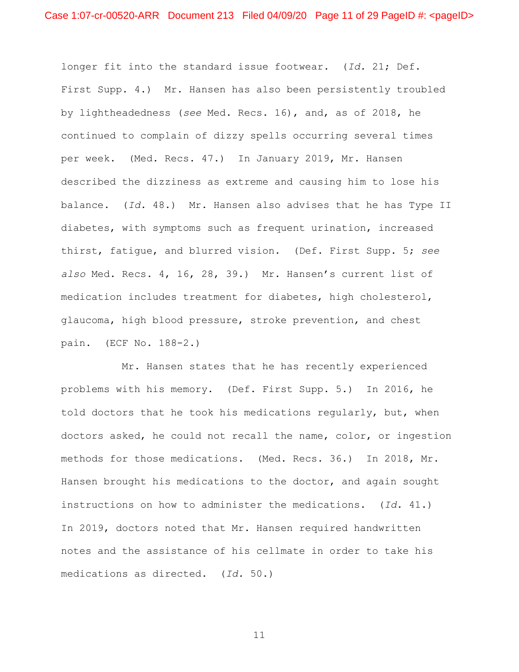longer fit into the standard issue footwear. (*Id.* 21; Def. First Supp. 4.) Mr. Hansen has also been persistently troubled by lightheadedness (*see* Med. Recs. 16), and, as of 2018, he continued to complain of dizzy spells occurring several times per week. (Med. Recs. 47.) In January 2019, Mr. Hansen described the dizziness as extreme and causing him to lose his balance. (*Id.* 48.) Mr. Hansen also advises that he has Type II diabetes, with symptoms such as frequent urination, increased thirst, fatigue, and blurred vision. (Def. First Supp. 5; *see also* Med. Recs. 4, 16, 28, 39.) Mr. Hansen's current list of medication includes treatment for diabetes, high cholesterol, glaucoma, high blood pressure, stroke prevention, and chest pain. (ECF No. 188-2.)

Mr. Hansen states that he has recently experienced problems with his memory. (Def. First Supp. 5.) In 2016, he told doctors that he took his medications regularly, but, when doctors asked, he could not recall the name, color, or ingestion methods for those medications. (Med. Recs. 36.) In 2018, Mr. Hansen brought his medications to the doctor, and again sought instructions on how to administer the medications. (*Id.* 41.) In 2019, doctors noted that Mr. Hansen required handwritten notes and the assistance of his cellmate in order to take his medications as directed. (*Id.* 50.)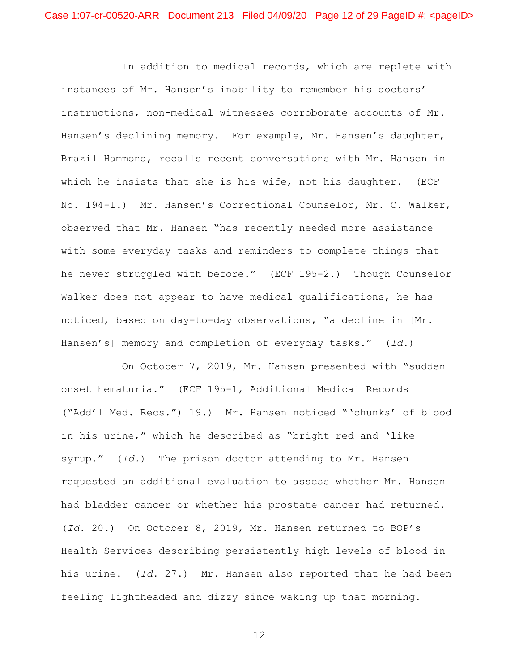In addition to medical records, which are replete with instances of Mr. Hansen's inability to remember his doctors' instructions, non-medical witnesses corroborate accounts of Mr. Hansen's declining memory. For example, Mr. Hansen's daughter, Brazil Hammond, recalls recent conversations with Mr. Hansen in which he insists that she is his wife, not his daughter. (ECF No. 194-1.) Mr. Hansen's Correctional Counselor, Mr. C. Walker, observed that Mr. Hansen "has recently needed more assistance with some everyday tasks and reminders to complete things that he never struggled with before." (ECF 195-2.) Though Counselor Walker does not appear to have medical qualifications, he has noticed, based on day-to-day observations, "a decline in [Mr. Hansen's] memory and completion of everyday tasks." (*Id.*)

On October 7, 2019, Mr. Hansen presented with "sudden onset hematuria." (ECF 195-1, Additional Medical Records ("Add'l Med. Recs.") 19.) Mr. Hansen noticed "'chunks' of blood in his urine," which he described as "bright red and 'like syrup." (*Id.*) The prison doctor attending to Mr. Hansen requested an additional evaluation to assess whether Mr. Hansen had bladder cancer or whether his prostate cancer had returned. (*Id.* 20.) On October 8, 2019, Mr. Hansen returned to BOP's Health Services describing persistently high levels of blood in his urine. (*Id.* 27.) Mr. Hansen also reported that he had been feeling lightheaded and dizzy since waking up that morning.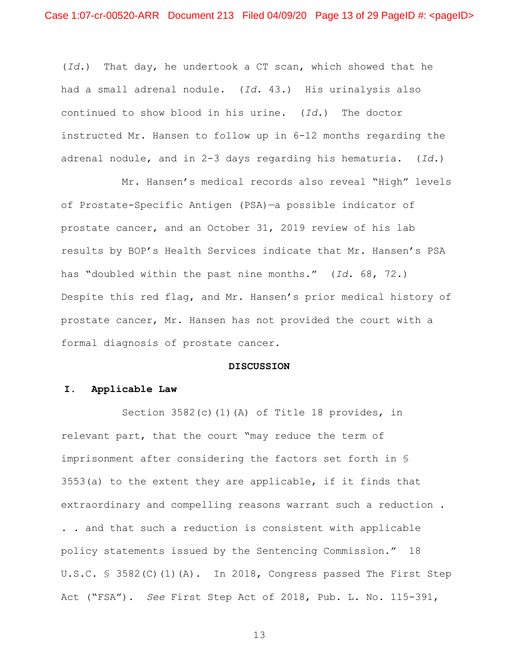(*Id.*) That day, he undertook a CT scan, which showed that he had a small adrenal nodule. (*Id.* 43.) His urinalysis also continued to show blood in his urine. (*Id.*) The doctor instructed Mr. Hansen to follow up in 6-12 months regarding the adrenal nodule, and in 2-3 days regarding his hematuria. (*Id.*)

Mr. Hansen's medical records also reveal "High" levels of Prostate-Specific Antigen (PSA)—a possible indicator of prostate cancer, and an October 31, 2019 review of his lab results by BOP's Health Services indicate that Mr. Hansen's PSA has "doubled within the past nine months." (*Id.* 68, 72.) Despite this red flag, and Mr. Hansen's prior medical history of prostate cancer, Mr. Hansen has not provided the court with a formal diagnosis of prostate cancer.

# **DISCUSSION**

## **I. Applicable Law**

Section 3582(c)(1)(A) of Title 18 provides, in relevant part, that the court "may reduce the term of imprisonment after considering the factors set forth in § 3553(a) to the extent they are applicable, if it finds that extraordinary and compelling reasons warrant such a reduction . . . and that such a reduction is consistent with applicable policy statements issued by the Sentencing Commission." 18 U.S.C. § 3582(C)(1)(A). In 2018, Congress passed The First Step Act ("FSA"). *See* First Step Act of 2018, Pub. L. No. 115-391,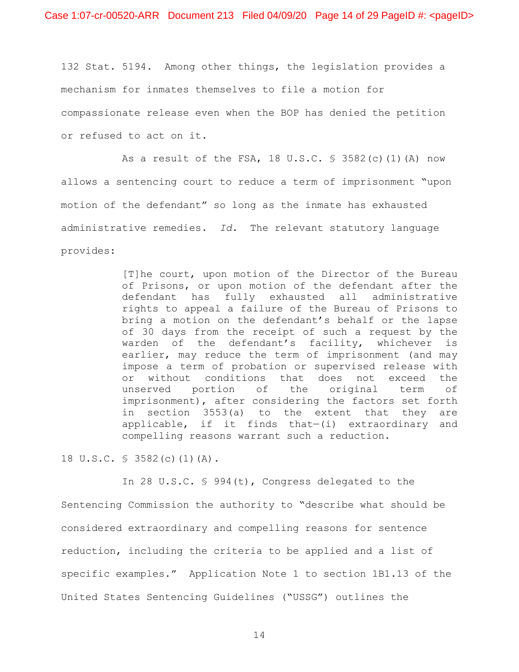132 Stat. 5194. Among other things, the legislation provides a mechanism for inmates themselves to file a motion for compassionate release even when the BOP has denied the petition or refused to act on it.

As a result of the FSA, 18 U.S.C. § 3582(c)(1)(A) now allows a sentencing court to reduce a term of imprisonment "upon motion of the defendant" so long as the inmate has exhausted administrative remedies. *Id.* The relevant statutory language provides:

> [T]he court, upon motion of the Director of the Bureau of Prisons, or upon motion of the defendant after the defendant has fully exhausted all administrative rights to appeal a failure of the Bureau of Prisons to bring a motion on the defendant's behalf or the lapse of 30 days from the receipt of such a request by the warden of the defendant's facility, whichever is earlier, may reduce the term of imprisonment (and may impose a term of probation or supervised release with or without conditions that does not exceed the unserved portion of the original term of imprisonment), after considering the factors set forth in section 3553(a) to the extent that they are applicable, if it finds that—(i) extraordinary and compelling reasons warrant such a reduction.

18 U.S.C. § 3582(c)(1)(A).

In 28 U.S.C. § 994(t), Congress delegated to the Sentencing Commission the authority to "describe what should be considered extraordinary and compelling reasons for sentence reduction, including the criteria to be applied and a list of specific examples." Application Note 1 to section 1B1.13 of the United States Sentencing Guidelines ("USSG") outlines the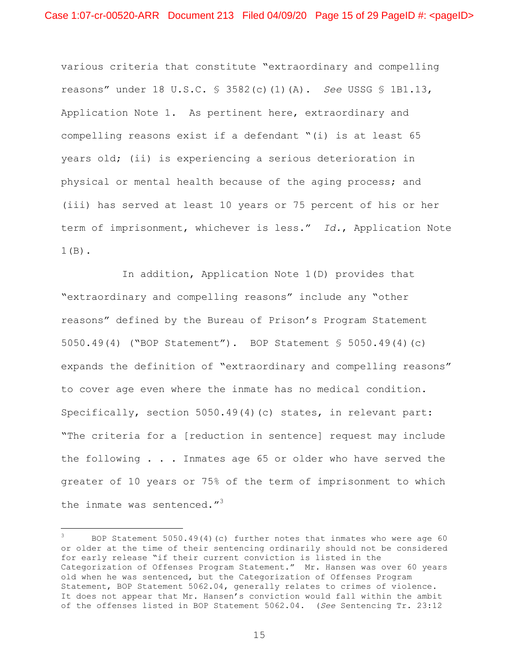various criteria that constitute "extraordinary and compelling reasons" under 18 U.S.C. § 3582(c)(1)(A). *See* USSG § 1B1.13, Application Note 1. As pertinent here, extraordinary and compelling reasons exist if a defendant "(i) is at least 65 years old; (ii) is experiencing a serious deterioration in physical or mental health because of the aging process; and (iii) has served at least 10 years or 75 percent of his or her term of imprisonment, whichever is less." *Id.*, Application Note 1(B).

In addition, Application Note 1(D) provides that "extraordinary and compelling reasons" include any "other reasons" defined by the Bureau of Prison's Program Statement 5050.49(4) ("BOP Statement"). BOP Statement § 5050.49(4)(c) expands the definition of "extraordinary and compelling reasons" to cover age even where the inmate has no medical condition. Specifically, section 5050.49(4)(c) states, in relevant part: "The criteria for a [reduction in sentence] request may include the following . . . Inmates age 65 or older who have served the greater of 10 years or 75% of the term of imprisonment to which the inmate was sentenced."<sup>3</sup>

i

<sup>3</sup> BOP Statement 5050.49(4)(c) further notes that inmates who were age 60 or older at the time of their sentencing ordinarily should not be considered for early release "if their current conviction is listed in the Categorization of Offenses Program Statement." Mr. Hansen was over 60 years old when he was sentenced, but the Categorization of Offenses Program Statement, BOP Statement 5062.04, generally relates to crimes of violence. It does not appear that Mr. Hansen's conviction would fall within the ambit of the offenses listed in BOP Statement 5062.04. (*See* Sentencing Tr. 23:12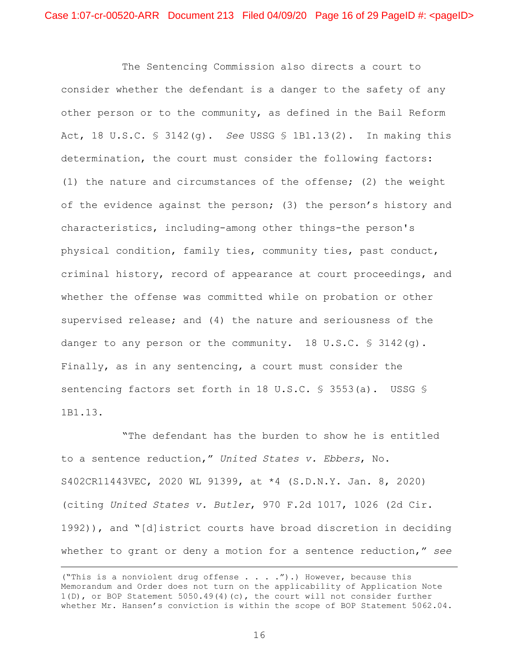The Sentencing Commission also directs a court to consider whether the defendant is a danger to the safety of any other person or to the community, as defined in the Bail Reform Act, 18 U.S.C. § 3142(g). *See* USSG § 1B1.13(2). In making this determination, the court must consider the following factors: (1) the nature and circumstances of the offense; (2) the weight of the evidence against the person; (3) the person's history and characteristics, including-among other things-the person's physical condition, family ties, community ties, past conduct, criminal history, record of appearance at court proceedings, and whether the offense was committed while on probation or other supervised release; and (4) the nature and seriousness of the danger to any person or the community. 18 U.S.C.  $\frac{1}{5}$  3142(q). Finally, as in any sentencing, a court must consider the sentencing factors set forth in 18 U.S.C. § 3553(a). USSG § 1B1.13.

"The defendant has the burden to show he is entitled to a sentence reduction," *United States v. Ebbers*, No. S402CR11443VEC, 2020 WL 91399, at \*4 (S.D.N.Y. Jan. 8, 2020) (citing *United States v. Butler*, 970 F.2d 1017, 1026 (2d Cir. 1992)), and "[d]istrict courts have broad discretion in deciding whether to grant or deny a motion for a sentence reduction," *see*

 <sup>(&</sup>quot;This is a nonviolent drug offense . . . .").) However, because this Memorandum and Order does not turn on the applicability of Application Note 1(D), or BOP Statement 5050.49(4)(c), the court will not consider further whether Mr. Hansen's conviction is within the scope of BOP Statement 5062.04.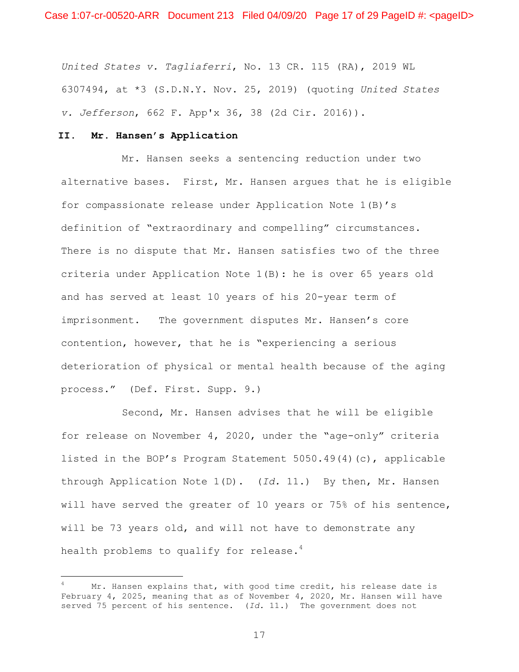*United States v. Tagliaferri*, No. 13 CR. 115 (RA), 2019 WL 6307494, at \*3 (S.D.N.Y. Nov. 25, 2019) (quoting *United States v. Jefferson*, 662 F. App'x 36, 38 (2d Cir. 2016)).

## **II. Mr. Hansen's Application**

i

Mr. Hansen seeks a sentencing reduction under two alternative bases. First, Mr. Hansen argues that he is eligible for compassionate release under Application Note 1(B)'s definition of "extraordinary and compelling" circumstances. There is no dispute that Mr. Hansen satisfies two of the three criteria under Application Note 1(B): he is over 65 years old and has served at least 10 years of his 20-year term of imprisonment. The government disputes Mr. Hansen's core contention, however, that he is "experiencing a serious deterioration of physical or mental health because of the aging process." (Def. First. Supp. 9.)

Second, Mr. Hansen advises that he will be eligible for release on November 4, 2020, under the "age-only" criteria listed in the BOP's Program Statement 5050.49(4)(c), applicable through Application Note 1(D). (*Id.* 11.) By then, Mr. Hansen will have served the greater of 10 years or 75% of his sentence, will be 73 years old, and will not have to demonstrate any health problems to qualify for release. $4$ 

Mr. Hansen explains that, with good time credit, his release date is February 4, 2025, meaning that as of November 4, 2020, Mr. Hansen will have served 75 percent of his sentence. (*Id.* 11.) The government does not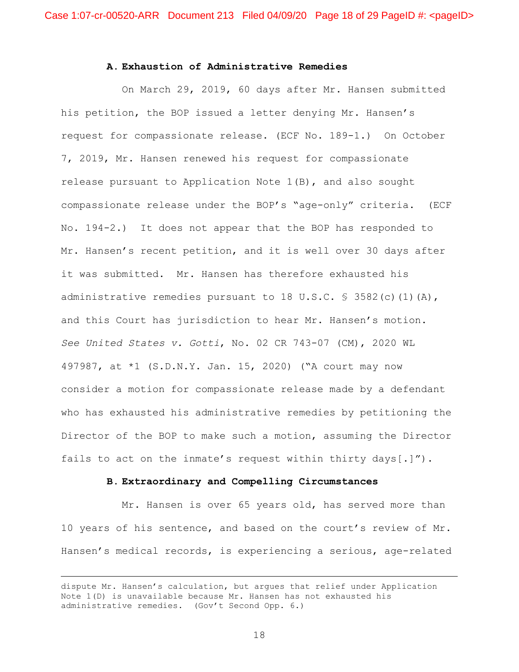## **A. Exhaustion of Administrative Remedies**

On March 29, 2019, 60 days after Mr. Hansen submitted his petition, the BOP issued a letter denying Mr. Hansen's request for compassionate release. (ECF No. 189-1.) On October 7, 2019, Mr. Hansen renewed his request for compassionate release pursuant to Application Note  $1(B)$ , and also sought compassionate release under the BOP's "age-only" criteria. (ECF No. 194-2.) It does not appear that the BOP has responded to Mr. Hansen's recent petition, and it is well over 30 days after it was submitted. Mr. Hansen has therefore exhausted his administrative remedies pursuant to 18 U.S.C.  $\frac{1}{5}$  3582(c)(1)(A), and this Court has jurisdiction to hear Mr. Hansen's motion. *See United States v. Gotti*, No. 02 CR 743-07 (CM), 2020 WL 497987, at \*1 (S.D.N.Y. Jan. 15, 2020) ("A court may now consider a motion for compassionate release made by a defendant who has exhausted his administrative remedies by petitioning the Director of the BOP to make such a motion, assuming the Director fails to act on the inmate's request within thirty days[.]").

#### **B. Extraordinary and Compelling Circumstances**

Mr. Hansen is over 65 years old, has served more than 10 years of his sentence, and based on the court's review of Mr. Hansen's medical records, is experiencing a serious, age-related

dispute Mr. Hansen's calculation, but argues that relief under Application Note 1(D) is unavailable because Mr. Hansen has not exhausted his administrative remedies. (Gov't Second Opp. 6.)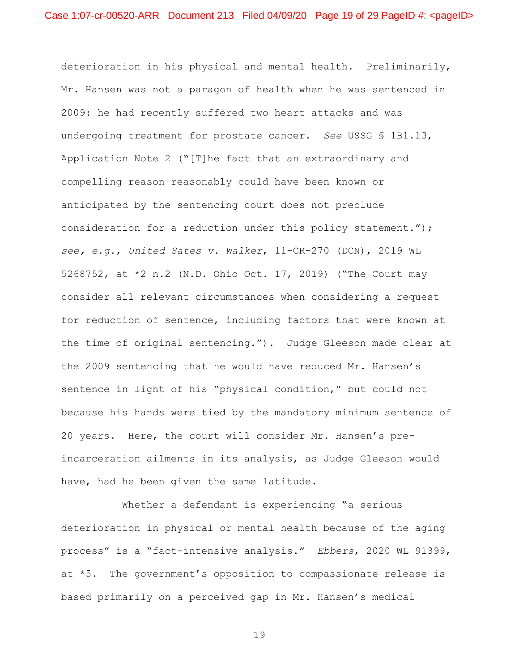deterioration in his physical and mental health. Preliminarily, Mr. Hansen was not a paragon of health when he was sentenced in 2009: he had recently suffered two heart attacks and was undergoing treatment for prostate cancer. *See* USSG § 1B1.13, Application Note 2 ("[T]he fact that an extraordinary and compelling reason reasonably could have been known or anticipated by the sentencing court does not preclude consideration for a reduction under this policy statement."); *see, e.g.*, *United Sates v. Walker*, 11-CR-270 (DCN), 2019 WL 5268752, at \*2 n.2 (N.D. Ohio Oct. 17, 2019) ("The Court may consider all relevant circumstances when considering a request for reduction of sentence, including factors that were known at the time of original sentencing."). Judge Gleeson made clear at the 2009 sentencing that he would have reduced Mr. Hansen's sentence in light of his "physical condition," but could not because his hands were tied by the mandatory minimum sentence of 20 years. Here, the court will consider Mr. Hansen's preincarceration ailments in its analysis, as Judge Gleeson would have, had he been given the same latitude.

Whether a defendant is experiencing "a serious deterioration in physical or mental health because of the aging process" is a "fact-intensive analysis." *Ebbers*, 2020 WL 91399, at \*5. The government's opposition to compassionate release is based primarily on a perceived gap in Mr. Hansen's medical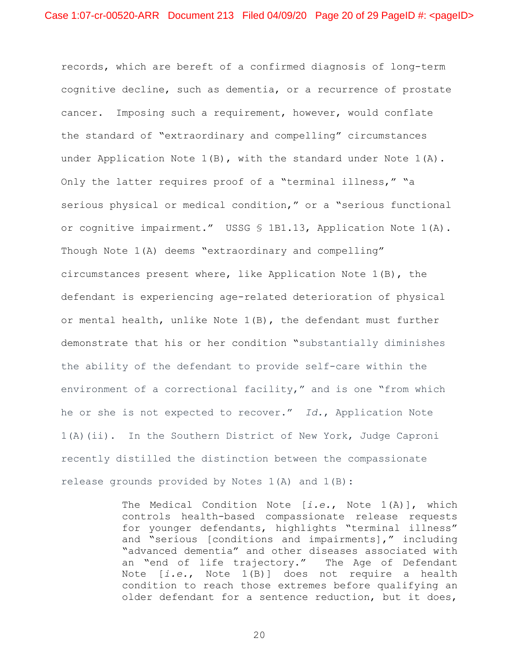records, which are bereft of a confirmed diagnosis of long-term cognitive decline, such as dementia, or a recurrence of prostate cancer. Imposing such a requirement, however, would conflate the standard of "extraordinary and compelling" circumstances under Application Note 1(B), with the standard under Note 1(A). Only the latter requires proof of a "terminal illness," "a serious physical or medical condition," or a "serious functional or cognitive impairment." USSG § 1B1.13, Application Note 1(A). Though Note 1(A) deems "extraordinary and compelling" circumstances present where, like Application Note 1(B), the defendant is experiencing age-related deterioration of physical or mental health, unlike Note  $1(B)$ , the defendant must further demonstrate that his or her condition "substantially diminishes the ability of the defendant to provide self-care within the environment of a correctional facility," and is one "from which he or she is not expected to recover." *Id.*, Application Note 1(A)(ii). In the Southern District of New York, Judge Caproni recently distilled the distinction between the compassionate release grounds provided by Notes 1(A) and 1(B):

> The Medical Condition Note [*i.e.*, Note 1(A)], which controls health-based compassionate release requests for younger defendants, highlights "terminal illness" and "serious [conditions and impairments]," including "advanced dementia" and other diseases associated with an "end of life trajectory." The Age of Defendant Note [*i.e.*, Note 1(B)] does not require a health condition to reach those extremes before qualifying an older defendant for a sentence reduction, but it does,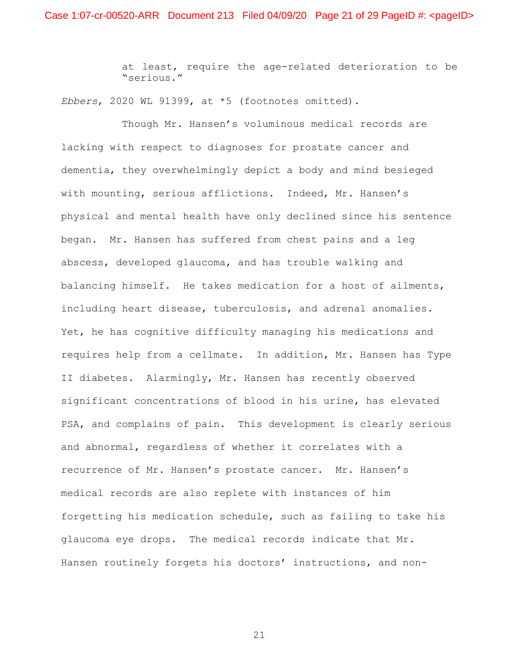at least, require the age-related deterioration to be "serious."

*Ebbers*, 2020 WL 91399, at \*5 (footnotes omitted).

Though Mr. Hansen's voluminous medical records are lacking with respect to diagnoses for prostate cancer and dementia, they overwhelmingly depict a body and mind besieged with mounting, serious afflictions. Indeed, Mr. Hansen's physical and mental health have only declined since his sentence began. Mr. Hansen has suffered from chest pains and a leg abscess, developed glaucoma, and has trouble walking and balancing himself. He takes medication for a host of ailments, including heart disease, tuberculosis, and adrenal anomalies. Yet, he has cognitive difficulty managing his medications and requires help from a cellmate. In addition, Mr. Hansen has Type II diabetes. Alarmingly, Mr. Hansen has recently observed significant concentrations of blood in his urine, has elevated PSA, and complains of pain. This development is clearly serious and abnormal, regardless of whether it correlates with a recurrence of Mr. Hansen's prostate cancer. Mr. Hansen's medical records are also replete with instances of him forgetting his medication schedule, such as failing to take his glaucoma eye drops. The medical records indicate that Mr. Hansen routinely forgets his doctors' instructions, and non-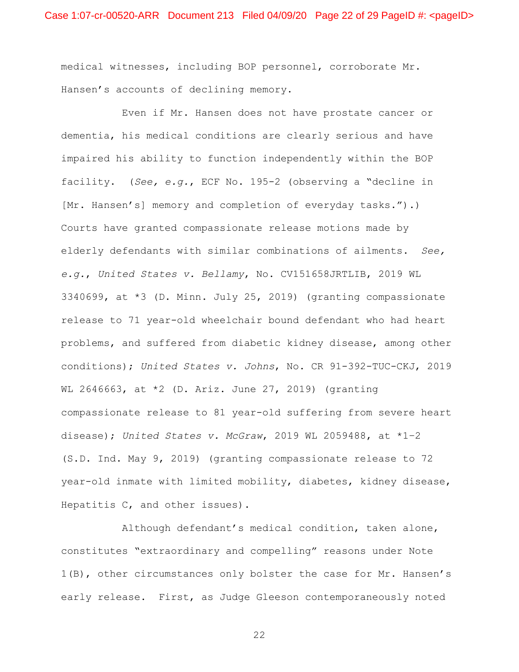medical witnesses, including BOP personnel, corroborate Mr. Hansen's accounts of declining memory.

Even if Mr. Hansen does not have prostate cancer or dementia, his medical conditions are clearly serious and have impaired his ability to function independently within the BOP facility. (*See, e.g.*, ECF No. 195-2 (observing a "decline in [Mr. Hansen's] memory and completion of everyday tasks.").) Courts have granted compassionate release motions made by elderly defendants with similar combinations of ailments. *See, e.g.*, *United States v. Bellamy*, No. CV151658JRTLIB, 2019 WL 3340699, at \*3 (D. Minn. July 25, 2019) (granting compassionate release to 71 year-old wheelchair bound defendant who had heart problems, and suffered from diabetic kidney disease, among other conditions); *United States v. Johns*, No. CR 91-392-TUC-CKJ, 2019 WL 2646663, at \*2 (D. Ariz. June 27, 2019) (granting compassionate release to 81 year-old suffering from severe heart disease); *United States v. McGraw*, 2019 WL 2059488, at \*1–2 (S.D. Ind. May 9, 2019) (granting compassionate release to 72 year-old inmate with limited mobility, diabetes, kidney disease, Hepatitis C, and other issues).

Although defendant's medical condition, taken alone, constitutes "extraordinary and compelling" reasons under Note 1(B), other circumstances only bolster the case for Mr. Hansen's early release. First, as Judge Gleeson contemporaneously noted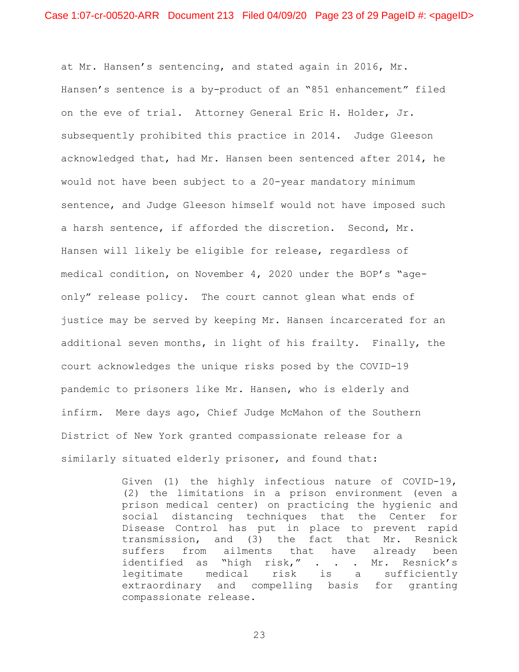at Mr. Hansen's sentencing, and stated again in 2016, Mr. Hansen's sentence is a by-product of an "851 enhancement" filed on the eve of trial. Attorney General Eric H. Holder, Jr. subsequently prohibited this practice in 2014. Judge Gleeson acknowledged that, had Mr. Hansen been sentenced after 2014, he would not have been subject to a 20-year mandatory minimum sentence, and Judge Gleeson himself would not have imposed such a harsh sentence, if afforded the discretion. Second, Mr. Hansen will likely be eligible for release, regardless of medical condition, on November 4, 2020 under the BOP's "ageonly" release policy. The court cannot glean what ends of justice may be served by keeping Mr. Hansen incarcerated for an additional seven months, in light of his frailty. Finally, the court acknowledges the unique risks posed by the COVID-19 pandemic to prisoners like Mr. Hansen, who is elderly and infirm. Mere days ago, Chief Judge McMahon of the Southern District of New York granted compassionate release for a similarly situated elderly prisoner, and found that:

> Given (1) the highly infectious nature of COVID-19, (2) the limitations in a prison environment (even a prison medical center) on practicing the hygienic and social distancing techniques that the Center for Disease Control has put in place to prevent rapid transmission, and (3) the fact that Mr. Resnick suffers from ailments that have already been identified as "high risk," . . . Mr. Resnick's legitimate medical risk is a sufficiently extraordinary and compelling basis for granting compassionate release.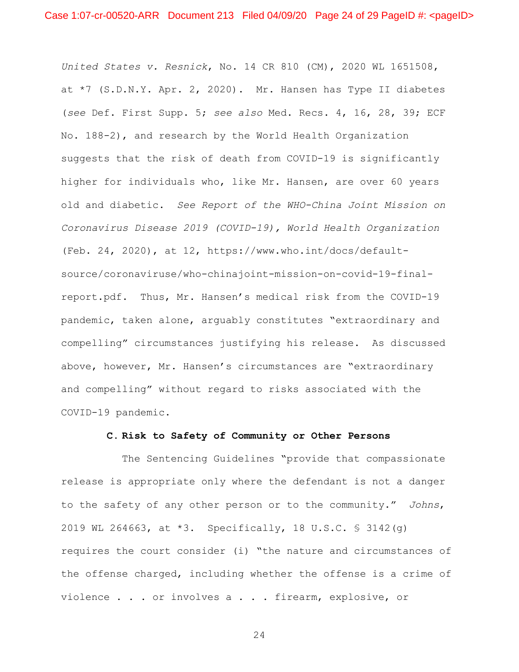*United States v. Resnick*, No. 14 CR 810 (CM), 2020 WL 1651508, at \*7 (S.D.N.Y. Apr. 2, 2020). Mr. Hansen has Type II diabetes (*see* Def. First Supp. 5; *see also* Med. Recs. 4, 16, 28, 39; ECF No. 188-2), and research by the World Health Organization suggests that the risk of death from COVID-19 is significantly higher for individuals who, like Mr. Hansen, are over 60 years old and diabetic. *See Report of the WHO-China Joint Mission on Coronavirus Disease 2019 (COVID-19), World Health Organization* (Feb. 24, 2020), at 12, https://www.who.int/docs/defaultsource/coronaviruse/who-chinajoint-mission-on-covid-19-finalreport.pdf. Thus, Mr. Hansen's medical risk from the COVID-19 pandemic, taken alone, arguably constitutes "extraordinary and compelling" circumstances justifying his release. As discussed above, however, Mr. Hansen's circumstances are "extraordinary and compelling" without regard to risks associated with the COVID-19 pandemic.

## **C. Risk to Safety of Community or Other Persons**

The Sentencing Guidelines "provide that compassionate release is appropriate only where the defendant is not a danger to the safety of any other person or to the community." *Johns*, 2019 WL 264663, at \*3. Specifically, 18 U.S.C. § 3142(g) requires the court consider (i) "the nature and circumstances of the offense charged, including whether the offense is a crime of violence . . . or involves a . . . firearm, explosive, or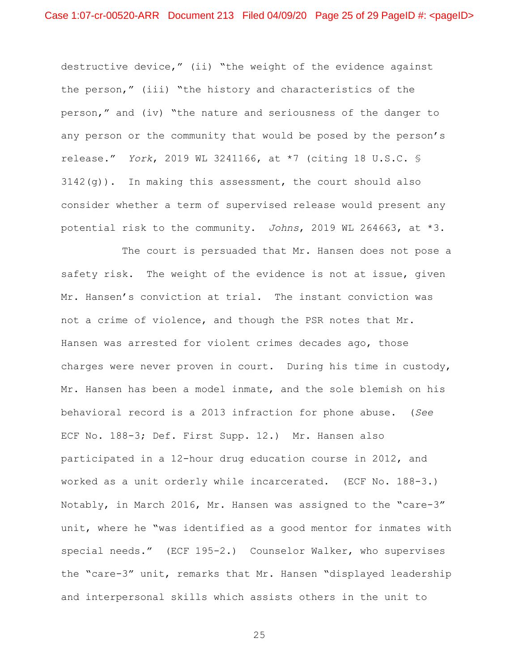destructive device," (ii) "the weight of the evidence against the person," (iii) "the history and characteristics of the person," and (iv) "the nature and seriousness of the danger to any person or the community that would be posed by the person's release." *York*, 2019 WL 3241166, at \*7 (citing 18 U.S.C. §  $3142(q)$ ). In making this assessment, the court should also consider whether a term of supervised release would present any potential risk to the community. *Johns*, 2019 WL 264663, at \*3.

The court is persuaded that Mr. Hansen does not pose a safety risk. The weight of the evidence is not at issue, given Mr. Hansen's conviction at trial. The instant conviction was not a crime of violence, and though the PSR notes that Mr. Hansen was arrested for violent crimes decades ago, those charges were never proven in court. During his time in custody, Mr. Hansen has been a model inmate, and the sole blemish on his behavioral record is a 2013 infraction for phone abuse. (*See* ECF No. 188-3; Def. First Supp. 12.) Mr. Hansen also participated in a 12-hour drug education course in 2012, and worked as a unit orderly while incarcerated. (ECF No. 188-3.) Notably, in March 2016, Mr. Hansen was assigned to the "care-3" unit, where he "was identified as a good mentor for inmates with special needs." (ECF 195-2.) Counselor Walker, who supervises the "care-3" unit, remarks that Mr. Hansen "displayed leadership and interpersonal skills which assists others in the unit to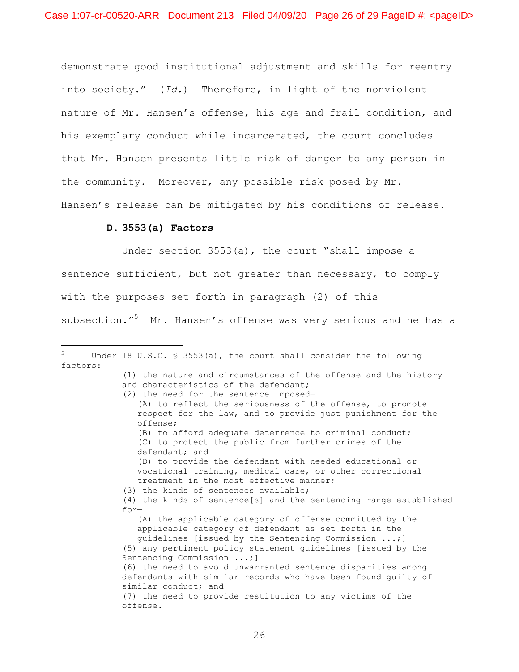demonstrate good institutional adjustment and skills for reentry into society." (*Id.*) Therefore, in light of the nonviolent nature of Mr. Hansen's offense, his age and frail condition, and his exemplary conduct while incarcerated, the court concludes that Mr. Hansen presents little risk of danger to any person in the community. Moreover, any possible risk posed by Mr. Hansen's release can be mitigated by his conditions of release.

### **D. 3553(a) Factors**

i

Under section 3553(a), the court "shall impose a sentence sufficient, but not greater than necessary, to comply with the purposes set forth in paragraph (2) of this subsection."<sup>5</sup> Mr. Hansen's offense was very serious and he has a

Under 18 U.S.C.  $$ 3553(a)$ , the court shall consider the following factors:

<sup>(1)</sup> the nature and circumstances of the offense and the history and characteristics of the defendant; (2) the need for the sentence imposed— (A) to reflect the seriousness of the offense, to promote respect for the law, and to provide just punishment for the offense; (B) to afford adequate deterrence to criminal conduct; (C) to protect the public from further crimes of the defendant; and (D) to provide the defendant with needed educational or vocational training, medical care, or other correctional treatment in the most effective manner; (3) the kinds of sentences available; (4) the kinds of sentence[s] and the sentencing range established for— (A) the applicable category of offense committed by the applicable category of defendant as set forth in the guidelines [issued by the Sentencing Commission ...;] (5) any pertinent policy statement guidelines [issued by the Sentencing Commission ...;] (6) the need to avoid unwarranted sentence disparities among defendants with similar records who have been found guilty of similar conduct; and (7) the need to provide restitution to any victims of the offense.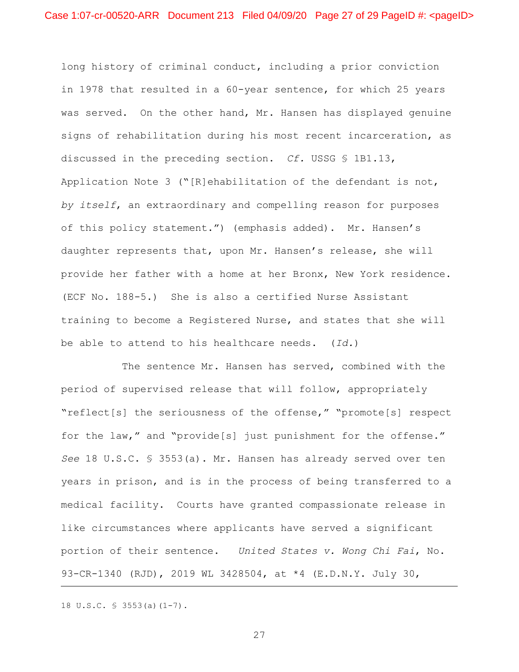long history of criminal conduct, including a prior conviction in 1978 that resulted in a 60-year sentence, for which 25 years was served. On the other hand, Mr. Hansen has displayed genuine signs of rehabilitation during his most recent incarceration, as discussed in the preceding section. *Cf.* USSG § 1B1.13, Application Note 3 ("[R]ehabilitation of the defendant is not, *by itself*, an extraordinary and compelling reason for purposes of this policy statement.") (emphasis added). Mr. Hansen's daughter represents that, upon Mr. Hansen's release, she will provide her father with a home at her Bronx, New York residence. (ECF No. 188-5.) She is also a certified Nurse Assistant training to become a Registered Nurse, and states that she will be able to attend to his healthcare needs. (*Id.*)

The sentence Mr. Hansen has served, combined with the period of supervised release that will follow, appropriately "reflect[s] the seriousness of the offense," "promote[s] respect for the law," and "provide[s] just punishment for the offense." *See* 18 U.S.C. § 3553(a). Mr. Hansen has already served over ten years in prison, and is in the process of being transferred to a medical facility. Courts have granted compassionate release in like circumstances where applicants have served a significant portion of their sentence. *United States v. Wong Chi Fai*, No. 93-CR-1340 (RJD), 2019 WL 3428504, at \*4 (E.D.N.Y. July 30,

18 U.S.C. § 3553(a)(1-7).

i<br>Li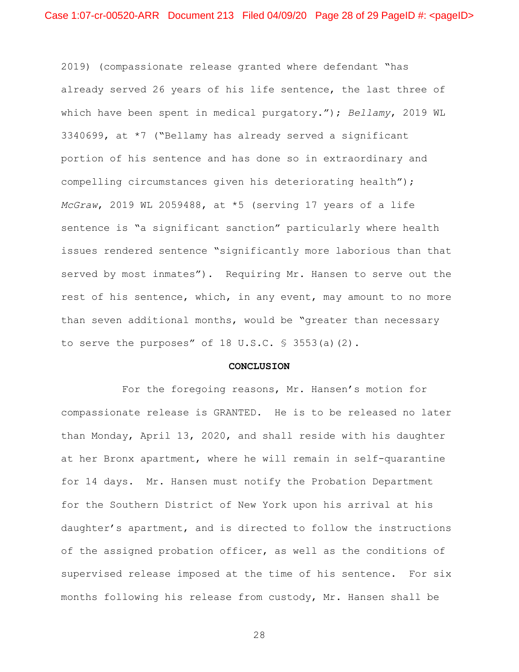2019) (compassionate release granted where defendant "has already served 26 years of his life sentence, the last three of which have been spent in medical purgatory."); *Bellamy*, 2019 WL 3340699, at \*7 ("Bellamy has already served a significant portion of his sentence and has done so in extraordinary and compelling circumstances given his deteriorating health"); *McGraw*, 2019 WL 2059488, at \*5 (serving 17 years of a life sentence is "a significant sanction" particularly where health issues rendered sentence "significantly more laborious than that served by most inmates"). Requiring Mr. Hansen to serve out the rest of his sentence, which, in any event, may amount to no more than seven additional months, would be "greater than necessary to serve the purposes" of 18 U.S.C.  $\frac{1}{5}$  3553(a)(2).

#### **CONCLUSION**

For the foregoing reasons, Mr. Hansen's motion for compassionate release is GRANTED. He is to be released no later than Monday, April 13, 2020, and shall reside with his daughter at her Bronx apartment, where he will remain in self-quarantine for 14 days. Mr. Hansen must notify the Probation Department for the Southern District of New York upon his arrival at his daughter's apartment, and is directed to follow the instructions of the assigned probation officer, as well as the conditions of supervised release imposed at the time of his sentence. For six months following his release from custody, Mr. Hansen shall be